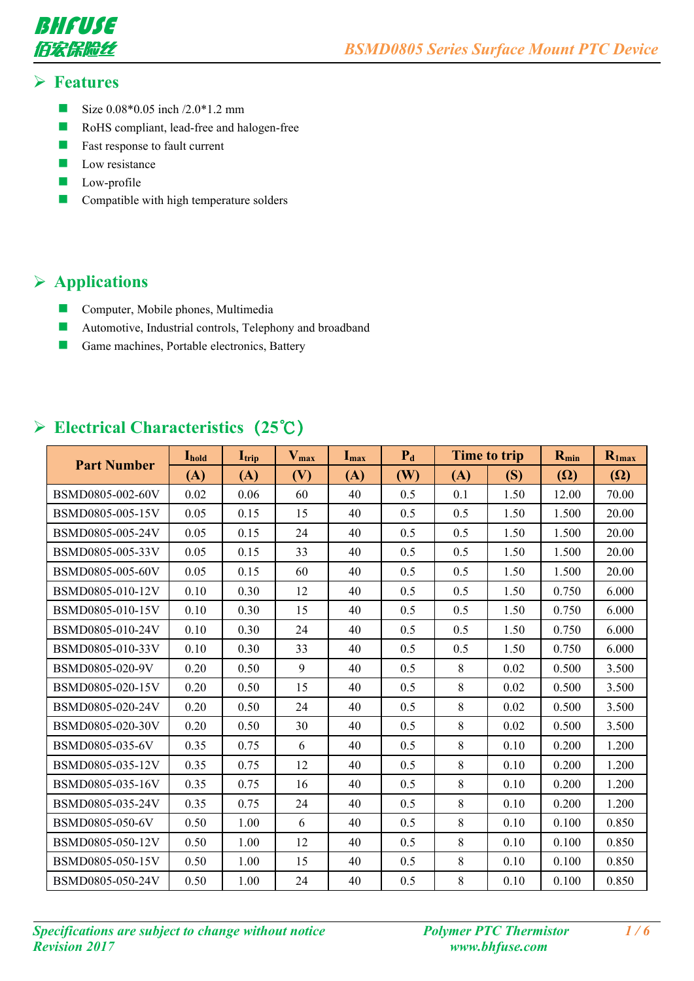

#### **Features**

- Size  $0.08*0.05$  inch  $/2.0*1.2$  mm
- **RoHS** compliant, lead-free and halogen-free
- $\blacksquare$  Fast response to fault current
- $\Box$  Low resistance
- **Low-profile**
- **Compatible with high temperature solders**

## **Applications**

- **Computer, Mobile phones, Multimedia**
- **Automotive, Industrial controls, Telephony and broadband**
- Game machines, Portable electronics, Battery

#### **Electrical Characteristics(25℃)**

|                    | <b>L</b> hold | $\mathbf{I}_{\text{trip}}$ | $V_{max}$ | $\mathbf{I}_{\text{max}}$ | $P_d$ |     | <b>Time to trip</b> | $R_{min}$  | $R_{1max}$ |
|--------------------|---------------|----------------------------|-----------|---------------------------|-------|-----|---------------------|------------|------------|
| <b>Part Number</b> | (A)           | (A)                        | (V)       | (A)                       | (W)   | (A) | (S)                 | $(\Omega)$ | $(\Omega)$ |
| BSMD0805-002-60V   | 0.02          | 0.06                       | 60        | 40                        | 0.5   | 0.1 | 1.50                | 12.00      | 70.00      |
| BSMD0805-005-15V   | 0.05          | 0.15                       | 15        | 40                        | 0.5   | 0.5 | 1.50                | 1.500      | 20.00      |
| BSMD0805-005-24V   | 0.05          | 0.15                       | 24        | 40                        | 0.5   | 0.5 | 1.50                | 1.500      | 20.00      |
| BSMD0805-005-33V   | 0.05          | 0.15                       | 33        | 40                        | 0.5   | 0.5 | 1.50                | 1.500      | 20.00      |
| BSMD0805-005-60V   | 0.05          | 0.15                       | 60        | 40                        | 0.5   | 0.5 | 1.50                | 1.500      | 20.00      |
| BSMD0805-010-12V   | 0.10          | 0.30                       | 12        | 40                        | 0.5   | 0.5 | 1.50                | 0.750      | 6.000      |
| BSMD0805-010-15V   | 0.10          | 0.30                       | 15        | 40                        | 0.5   | 0.5 | 1.50                | 0.750      | 6.000      |
| BSMD0805-010-24V   | 0.10          | 0.30                       | 24        | 40                        | 0.5   | 0.5 | 1.50                | 0.750      | 6.000      |
| BSMD0805-010-33V   | 0.10          | 0.30                       | 33        | 40                        | 0.5   | 0.5 | 1.50                | 0.750      | 6.000      |
| BSMD0805-020-9V    | 0.20          | 0.50                       | 9         | 40                        | 0.5   | 8   | 0.02                | 0.500      | 3.500      |
| BSMD0805-020-15V   | 0.20          | 0.50                       | 15        | 40                        | 0.5   | 8   | 0.02                | 0.500      | 3.500      |
| BSMD0805-020-24V   | 0.20          | 0.50                       | 24        | 40                        | 0.5   | 8   | 0.02                | 0.500      | 3.500      |
| BSMD0805-020-30V   | 0.20          | 0.50                       | 30        | 40                        | 0.5   | 8   | 0.02                | 0.500      | 3.500      |
| BSMD0805-035-6V    | 0.35          | 0.75                       | 6         | 40                        | 0.5   | 8   | 0.10                | 0.200      | 1.200      |
| BSMD0805-035-12V   | 0.35          | 0.75                       | 12        | 40                        | 0.5   | 8   | 0.10                | 0.200      | 1.200      |
| BSMD0805-035-16V   | 0.35          | 0.75                       | 16        | 40                        | 0.5   | 8   | 0.10                | 0.200      | 1.200      |
| BSMD0805-035-24V   | 0.35          | 0.75                       | 24        | 40                        | 0.5   | 8   | 0.10                | 0.200      | 1.200      |
| BSMD0805-050-6V    | 0.50          | 1.00                       | 6         | 40                        | 0.5   | 8   | 0.10                | 0.100      | 0.850      |
| BSMD0805-050-12V   | 0.50          | 1.00                       | 12        | 40                        | 0.5   | 8   | 0.10                | 0.100      | 0.850      |
| BSMD0805-050-15V   | 0.50          | 1.00                       | 15        | 40                        | 0.5   | 8   | 0.10                | 0.100      | 0.850      |
| BSMD0805-050-24V   | 0.50          | 1.00                       | 24        | 40                        | 0.5   | 8   | 0.10                | 0.100      | 0.850      |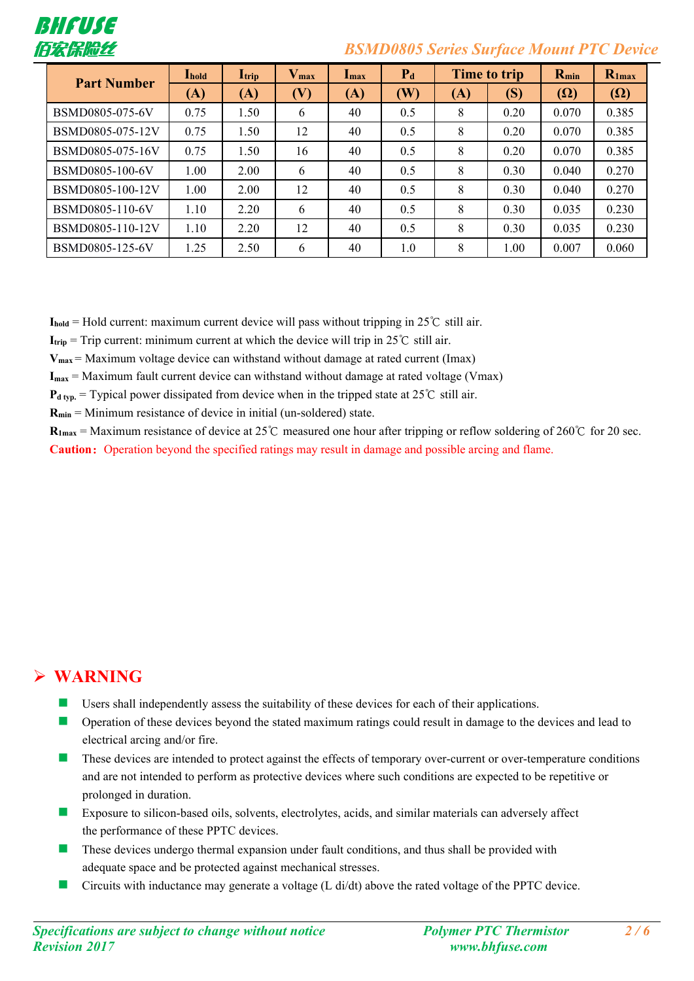

#### 佰宏保险丝 *BSMD0805 Series Surface Mount PTC Device*

| <b>Part Number</b> | <b>L</b> hold | $\mathbf{I}_{\text{trip}}$ | $V_{max}$ | $\mathbf{I}_{\max}$ | $P_d$ |     | Time to trip | $R_{min}$  | $R_{1max}$ |
|--------------------|---------------|----------------------------|-----------|---------------------|-------|-----|--------------|------------|------------|
|                    | (A)           | (A)                        | (V)       | (A)                 | (W)   | (A) | (S)          | $(\Omega)$ | $(\Omega)$ |
| BSMD0805-075-6V    | 0.75          | 1.50                       | 6         | 40                  | 0.5   | 8   | 0.20         | 0.070      | 0.385      |
| BSMD0805-075-12V   | 0.75          | 1.50                       | 12        | 40                  | 0.5   | 8   | 0.20         | 0.070      | 0.385      |
| BSMD0805-075-16V   | 0.75          | 1.50                       | 16        | 40                  | 0.5   | 8   | 0.20         | 0.070      | 0.385      |
| BSMD0805-100-6V    | 1.00          | 2.00                       | 6         | 40                  | 0.5   | 8   | 0.30         | 0.040      | 0.270      |
| BSMD0805-100-12V   | $1.00\,$      | 2.00                       | 12        | 40                  | 0.5   | 8   | 0.30         | 0.040      | 0.270      |
| BSMD0805-110-6V    | 1.10          | 2.20                       | 6         | 40                  | 0.5   | 8   | 0.30         | 0.035      | 0.230      |
| BSMD0805-110-12V   | 1.10          | 2.20                       | 12        | 40                  | 0.5   | 8   | 0.30         | 0.035      | 0.230      |
| BSMD0805-125-6V    | 1.25          | 2.50                       | 6         | 40                  | 1.0   | 8   | 1.00         | 0.007      | 0.060      |

 $I_{\text{hold}}$  = Hold current: maximum current device will pass without tripping in 25°C still air.

**I**<sub>trip</sub> = Trip current: minimum current at which the device will trip in 25°C still air.

**Vmax** = Maximum voltage device can withstand without damage at rated current (Imax)

**Imax** = Maximum fault current device can withstand without damage at rated voltage (Vmax)

 $P_{d \text{ typ.}}$  = Typical power dissipated from device when in the tripped state at 25°C still air.

**Rmin** = Minimum resistance of device in initial (un-soldered) state.

 $$ **Caution:** Operation beyond the specified ratings may result in damage and possible arcing and flame.

## **WARNING**

- $\blacksquare$  Users shall independently assess the suitability of these devices for each of their applications.
- Operation of these devices beyond the stated maximum ratings could result in damage to the devices and lead to electrical arcing and/or fire.
- $\blacksquare$  These devices are intended to protect against the effects of temporary over-current or over-temperature conditions and are not intended to perform as protective devices where such conditions are expected to be repetitive or prolonged in duration.
- Exposure to silicon-based oils, solvents, electrolytes, acids, and similar materials can adversely affect the performance of these PPTC devices.
- $\blacksquare$  These devices undergo thermal expansion under fault conditions, and thus shall be provided with adequate space and be protected against mechanical stresses.
- Circuits with inductance may generate a voltage  $(L \, \text{d}/\text{d}t)$  above the rated voltage of the PPTC device.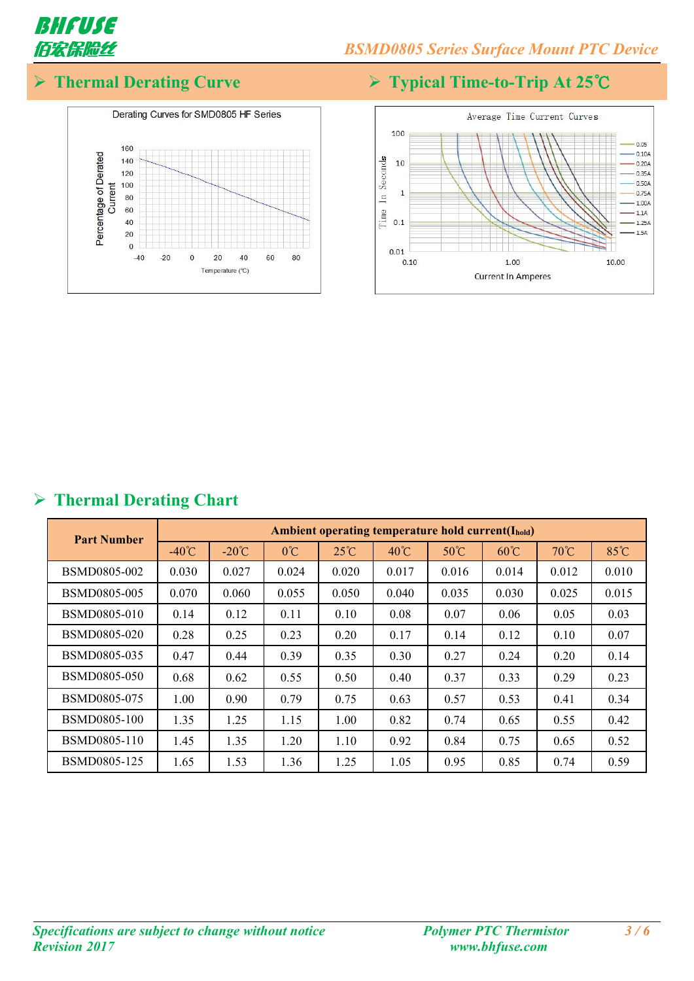

# **Thermal Derating Curve Typical Time-to-Trip At 25℃**





## **Thermal Derating Chart**

| <b>Part Number</b>  |                 | Ambient operating temperature hold current( $I_{hold}$ ) |              |                |                |                |                |       |       |  |  |  |
|---------------------|-----------------|----------------------------------------------------------|--------------|----------------|----------------|----------------|----------------|-------|-------|--|--|--|
|                     | $-40^{\circ}$ C | $-20^{\circ}C$                                           | $0^{\circ}C$ | $25^{\circ}$ C | $40^{\circ}$ C | $50^{\circ}$ C | $60^{\circ}$ C | 70°C  | 85°C  |  |  |  |
| BSMD0805-002        | 0.030           | 0.027                                                    | 0.024        | 0.020          | 0.017          | 0.016          | 0.014          | 0.012 | 0.010 |  |  |  |
| BSMD0805-005        | 0.070           | 0.060                                                    | 0.055        | 0.050          | 0.040          | 0.035          | 0.030          | 0.025 | 0.015 |  |  |  |
| BSMD0805-010        | 0.14            | 0.12                                                     | 0.11         | 0.10           | 0.08           | 0.07           | 0.06           | 0.05  | 0.03  |  |  |  |
| <b>BSMD0805-020</b> | 0.28            | 0.25                                                     | 0.23         | 0.20           | 0.17           | 0.14           | 0.12           | 0.10  | 0.07  |  |  |  |
| BSMD0805-035        | 0.47            | 0.44                                                     | 0.39         | 0.35           | 0.30           | 0.27           | 0.24           | 0.20  | 0.14  |  |  |  |
| BSMD0805-050        | 0.68            | 0.62                                                     | 0.55         | 0.50           | 0.40           | 0.37           | 0.33           | 0.29  | 0.23  |  |  |  |
| BSMD0805-075        | 1.00            | 0.90                                                     | 0.79         | 0.75           | 0.63           | 0.57           | 0.53           | 0.41  | 0.34  |  |  |  |
| <b>BSMD0805-100</b> | 1.35            | 1.25                                                     | 1.15         | 1.00           | 0.82           | 0.74           | 0.65           | 0.55  | 0.42  |  |  |  |
| BSMD0805-110        | 1.45            | 1.35                                                     | 1.20         | 1.10           | 0.92           | 0.84           | 0.75           | 0.65  | 0.52  |  |  |  |
| BSMD0805-125        | 1.65            | 1.53                                                     | 1.36         | 1.25           | 1.05           | 0.95           | 0.85           | 0.74  | 0.59  |  |  |  |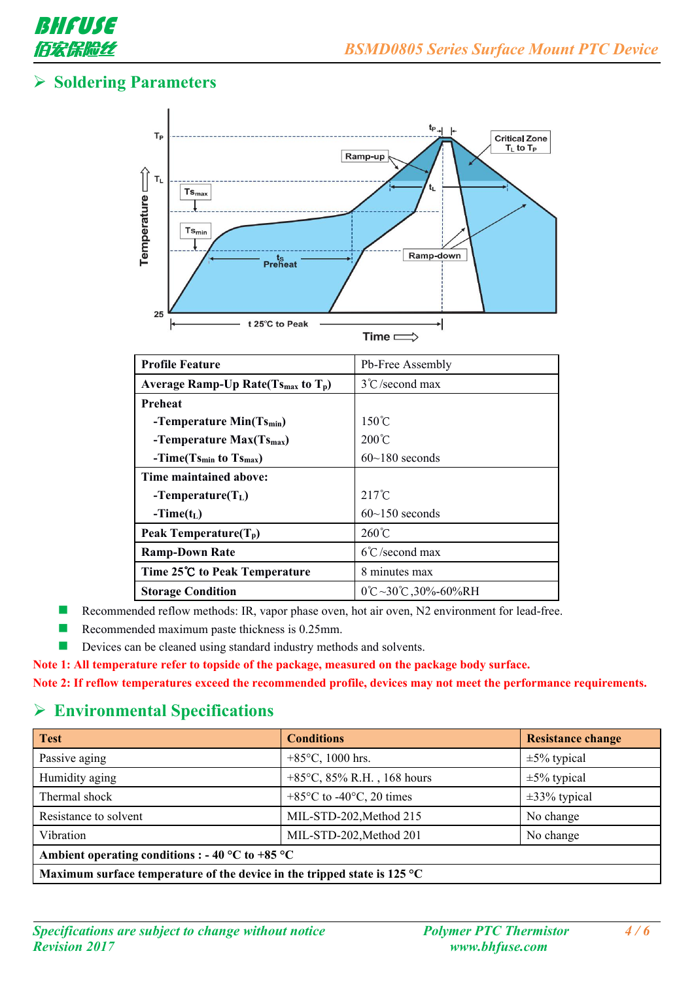

## **Soldering Parameters**



| <b>Profile Feature</b>                              | Pb-Free Assembly                             |
|-----------------------------------------------------|----------------------------------------------|
| Average Ramp-Up Rate $(T_{\text{Smax}})$ to $T_p$ ) | $3^{\circ}$ C/second max                     |
| Preheat                                             |                                              |
| -Temperature Min(Ts <sub>min</sub> )                | $150^{\circ}$ C                              |
| -Temperature $Max(Ts_{max})$                        | $200^{\circ}$ C                              |
| $-Time(Ts_{min}$ to $Ts_{max})$                     | $60~180$ seconds                             |
| Time maintained above:                              |                                              |
| $-Temperature(TL)$                                  | $217^{\circ}$ C                              |
| $-Time(t_L)$                                        | $60$ ~150 seconds                            |
| Peak Temperature $(T_p)$                            | $260^{\circ}$ C                              |
| <b>Ramp-Down Rate</b>                               | $6^{\circ}$ C/second max                     |
| Time 25°C to Peak Temperature                       | 8 minutes max                                |
| <b>Storage Condition</b>                            | $0^{\circ}C - 30^{\circ}C$ , $30\% - 60\%RH$ |

Recommended reflow methods: IR, vapor phase oven, hot air oven, N2 environment for lead-free.

- Recommended maximum paste thickness is 0.25mm.
- Devices can be cleaned using standard industry methods and solvents.

**Note 1: All temperature refer to topside of the package, measured on the package body surface.**

**Note 2: Ifreflow temperatures exceed the recommended profile, devices may not meet the performance requirements.**

#### **Environmental Specifications**

| <b>Test</b>                                                                        | <b>Conditions</b>                             | <b>Resistance change</b> |
|------------------------------------------------------------------------------------|-----------------------------------------------|--------------------------|
| Passive aging                                                                      | +85 $\degree$ C, 1000 hrs.                    | $\pm 5\%$ typical        |
| Humidity aging                                                                     | +85 $\degree$ C, 85% R.H., 168 hours          | $\pm 5\%$ typical        |
| Thermal shock                                                                      | $+85^{\circ}$ C to -40 $^{\circ}$ C, 20 times | $\pm 33\%$ typical       |
| Resistance to solvent                                                              | MIL-STD-202, Method 215                       | No change                |
| Vibration                                                                          | MIL-STD-202, Method 201                       | No change                |
| Ambient operating conditions : - 40 °C to +85 °C                                   |                                               |                          |
| Maximum surface temperature of the device in the tripped state is 125 $^{\circ}$ C |                                               |                          |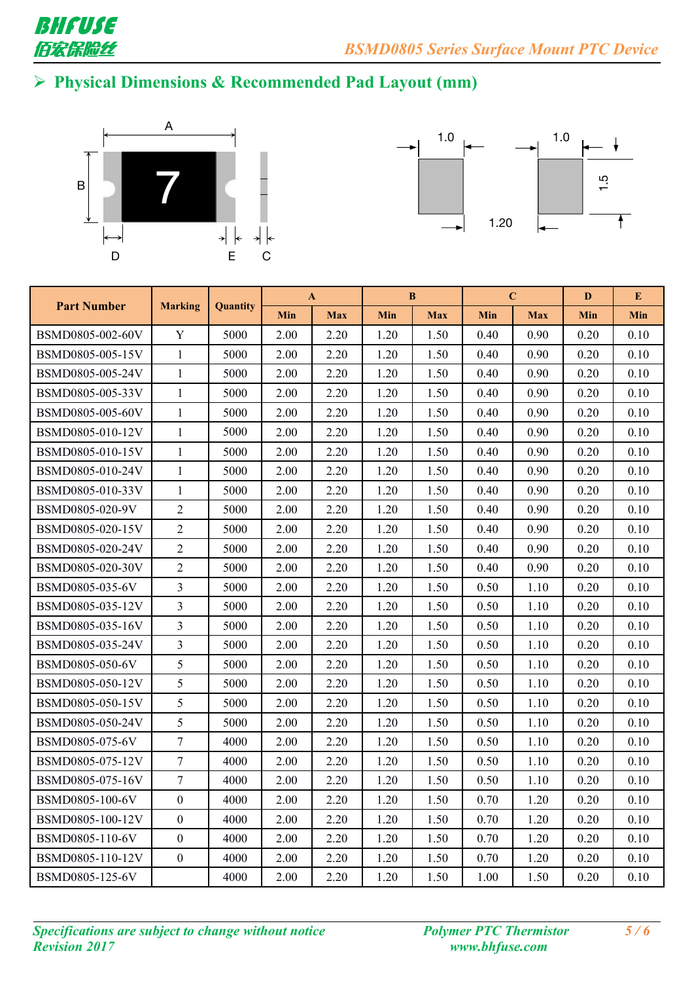

# **Physical Dimensions & Recommended Pad Layout (mm)**





|                    |                  |                 |      | $\mathbf{A}$ |      | B          |      | $\mathbf C$ | D    | E    |
|--------------------|------------------|-----------------|------|--------------|------|------------|------|-------------|------|------|
| <b>Part Number</b> | <b>Marking</b>   | <b>Quantity</b> | Min  | <b>Max</b>   | Min  | <b>Max</b> | Min  | <b>Max</b>  | Min  | Min  |
| BSMD0805-002-60V   | $\mathbf Y$      | 5000            | 2.00 | 2.20         | 1.20 | 1.50       | 0.40 | 0.90        | 0.20 | 0.10 |
| BSMD0805-005-15V   | $\mathbf{1}$     | 5000            | 2.00 | 2.20         | 1.20 | 1.50       | 0.40 | 0.90        | 0.20 | 0.10 |
| BSMD0805-005-24V   | $\mathbf{1}$     | 5000            | 2.00 | 2.20         | 1.20 | 1.50       | 0.40 | 0.90        | 0.20 | 0.10 |
| BSMD0805-005-33V   | $\mathbf{1}$     | 5000            | 2.00 | 2.20         | 1.20 | 1.50       | 0.40 | 0.90        | 0.20 | 0.10 |
| BSMD0805-005-60V   | $\mathbf{1}$     | 5000            | 2.00 | 2.20         | 1.20 | 1.50       | 0.40 | 0.90        | 0.20 | 0.10 |
| BSMD0805-010-12V   | $\mathbf{1}$     | 5000            | 2.00 | 2.20         | 1.20 | 1.50       | 0.40 | 0.90        | 0.20 | 0.10 |
| BSMD0805-010-15V   | 1                | 5000            | 2.00 | 2.20         | 1.20 | 1.50       | 0.40 | 0.90        | 0.20 | 0.10 |
| BSMD0805-010-24V   | $\mathbf{1}$     | 5000            | 2.00 | 2.20         | 1.20 | 1.50       | 0.40 | 0.90        | 0.20 | 0.10 |
| BSMD0805-010-33V   | $\mathbf{1}$     | 5000            | 2.00 | 2.20         | 1.20 | 1.50       | 0.40 | 0.90        | 0.20 | 0.10 |
| BSMD0805-020-9V    | $\overline{2}$   | 5000            | 2.00 | 2.20         | 1.20 | 1.50       | 0.40 | 0.90        | 0.20 | 0.10 |
| BSMD0805-020-15V   | $\overline{2}$   | 5000            | 2.00 | 2.20         | 1.20 | 1.50       | 0.40 | 0.90        | 0.20 | 0.10 |
| BSMD0805-020-24V   | $\overline{2}$   | 5000            | 2.00 | 2.20         | 1.20 | 1.50       | 0.40 | 0.90        | 0.20 | 0.10 |
| BSMD0805-020-30V   | $\overline{2}$   | 5000            | 2.00 | 2.20         | 1.20 | 1.50       | 0.40 | 0.90        | 0.20 | 0.10 |
| BSMD0805-035-6V    | $\overline{3}$   | 5000            | 2.00 | 2.20         | 1.20 | 1.50       | 0.50 | 1.10        | 0.20 | 0.10 |
| BSMD0805-035-12V   | $\overline{3}$   | 5000            | 2.00 | 2.20         | 1.20 | 1.50       | 0.50 | 1.10        | 0.20 | 0.10 |
| BSMD0805-035-16V   | $\overline{3}$   | 5000            | 2.00 | 2.20         | 1.20 | 1.50       | 0.50 | 1.10        | 0.20 | 0.10 |
| BSMD0805-035-24V   | $\overline{3}$   | 5000            | 2.00 | 2.20         | 1.20 | 1.50       | 0.50 | 1.10        | 0.20 | 0.10 |
| BSMD0805-050-6V    | 5                | 5000            | 2.00 | 2.20         | 1.20 | 1.50       | 0.50 | 1.10        | 0.20 | 0.10 |
| BSMD0805-050-12V   | 5                | 5000            | 2.00 | 2.20         | 1.20 | 1.50       | 0.50 | 1.10        | 0.20 | 0.10 |
| BSMD0805-050-15V   | 5                | 5000            | 2.00 | 2.20         | 1.20 | 1.50       | 0.50 | 1.10        | 0.20 | 0.10 |
| BSMD0805-050-24V   | 5                | 5000            | 2.00 | 2.20         | 1.20 | 1.50       | 0.50 | 1.10        | 0.20 | 0.10 |
| BSMD0805-075-6V    | $\tau$           | 4000            | 2.00 | 2.20         | 1.20 | 1.50       | 0.50 | 1.10        | 0.20 | 0.10 |
| BSMD0805-075-12V   | $\overline{7}$   | 4000            | 2.00 | 2.20         | 1.20 | 1.50       | 0.50 | 1.10        | 0.20 | 0.10 |
| BSMD0805-075-16V   | $\overline{7}$   | 4000            | 2.00 | 2.20         | 1.20 | 1.50       | 0.50 | 1.10        | 0.20 | 0.10 |
| BSMD0805-100-6V    | $\mathbf{0}$     | 4000            | 2.00 | 2.20         | 1.20 | 1.50       | 0.70 | 1.20        | 0.20 | 0.10 |
| BSMD0805-100-12V   | $\boldsymbol{0}$ | 4000            | 2.00 | 2.20         | 1.20 | 1.50       | 0.70 | 1.20        | 0.20 | 0.10 |
| BSMD0805-110-6V    | $\overline{0}$   | 4000            | 2.00 | 2.20         | 1.20 | 1.50       | 0.70 | 1.20        | 0.20 | 0.10 |
| BSMD0805-110-12V   | $\overline{0}$   | 4000            | 2.00 | 2.20         | 1.20 | 1.50       | 0.70 | 1.20        | 0.20 | 0.10 |
| BSMD0805-125-6V    |                  | 4000            | 2.00 | 2.20         | 1.20 | 1.50       | 1.00 | 1.50        | 0.20 | 0.10 |
|                    |                  |                 |      |              |      |            |      |             |      |      |